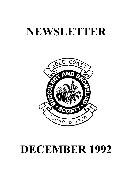# **NEWSLETTER**



## **DECEMBER 1992**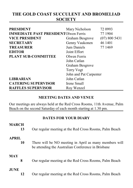### **THE GOLD COAST SUCCULENT AND BROMELIAD SOCIETY**

| <b>PRESIDENT</b>                             | Mary Nicholson         | 72 0993       |
|----------------------------------------------|------------------------|---------------|
| <b>IMMEDIATE PAST PRESIDENTO lwen Ferris</b> |                        | 77 1904       |
| <b>VICE PRESIDENT</b>                        | Graham Besgrove        | (07) 800 5431 |
| <b>SECRETARY</b>                             | Genny Vaukonen         | 46 1401       |
| <b>TREASURER</b>                             | Jum Daniels            | 77 1469       |
| <b>EDITOR</b>                                | Joint Effort           |               |
| <b>PLANT SUB-COMMITTEE</b>                   | Olwen Ferris           |               |
|                                              | John Catlan            |               |
|                                              | Graham Besgrove        |               |
|                                              | Terry Vogt             |               |
|                                              | John and Pat Carpenter |               |
| <b>LIBRARIAN</b>                             | John Catlan            |               |
| <b>CATERING SUPERVISOR</b>                   | Irene Small            |               |
| <b>RAFFLES SUPERVISOR</b>                    | Roy Wenzel             |               |

#### **MEETING DATES AND VENUE**

Our meetings are always held at the Red Cross Rooms, 11th Avenue, Palm Beach on the second Saturday of each month starting at 1.30 pm.

#### **DATES FOR YOUR DIARY**

| <b>MARCH</b> | 13 | Our regular meeting at the Red Cross Rooms, Palm Beach                                                       |
|--------------|----|--------------------------------------------------------------------------------------------------------------|
| <b>APRIL</b> | 10 | There will be NO meeting in April as many members will<br>be attending the Australian Conference in Brisbane |
| <b>MAY</b>   | 8  | Our regular meeting at the Red Cross Rooms, Palm Beach                                                       |
| <b>JUNE</b>  | 12 | Our regular meeting at the Red Cross Rooms, Palm Beach                                                       |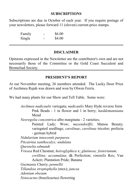#### **SUBSCRIPTIONS**

Subscriptions are due in October of each year. If you require postage of your newsletters, please forward 11 (eleven) current-price stamps.

| Family | \$6.00 |
|--------|--------|
| Single | \$4.00 |

#### **DISCLAIMER**

Opinions expressed in the Newsletter are the contributor's own and are not necessarily those of the Committee or the Gold Coast Succulent and Bromeliad Society.

#### **PRESIDENT'S REPORT**

At our November meeting, 26 members attended. The Lucky Door Prize of Aechmea Rajah was drawn and won by Olwen Ferris.

We had many plants for our Show and Tell Table. Some were:

*Aechmea nudicaulis* variegata; *nudicaulis* Mary Hyde reverse form Pink Beads - 1 in flower and 1 in berry; *lueddemanniana* Mend *Neoregelia concentrica* albo marginata - 2 varieties; Painted Lady; Wow; *meyendorffii*; Manoa Beauty; variegated seedlings; *carolinae*; *carolinae* tricolor; perfecta - german hybrid *Nidularium innocentii purpurea Pitcairnia xanthocalyx; undulata Quesnelia edmundi Vriesea* Red Chestnut; *heiroglyphica* x; *glutinosa; fosterianum; corillina; accumulata*; dk Perfection; *viminilis* Rex; Van Ackeri; Plantation Pride; Banana *Guzmania* Cherry; *pennellii Tillandsia streptophylla* (mex); *juncea Adenium obesum Notocactus* (brazilcactus) flowering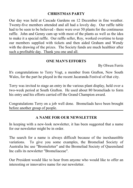#### **CHRISTMAS PARTY**

Our day was held at Cascade Gardens on 12 December in fine weather. Twenty-five members attended and all had a lovely day. Our raffle table had to be seen to be believed - there were over 50 plants for the continuous raffle. John and Genny cam up with most of the plants as well as the idea to make it a special raffle. Our raffle seller, Roy, worked overtime to keep our members supplied with tickets and then aided Graham and Wendy with the drawing of the prizes. The Society funds are much healthier after such a profitable day. Thank you one and all.

#### **ONE MAN'S EFFORTS**

By Olwen Ferris

It's congratulations to Terry Vogt, a member from Grafton, New South Wales, for the part he played in the recent Jacaranda Festival of that city.

Terry was invited to stage an entry in the various plant display, held over a two-week period at South Grafton. He used about 80 bromeliads to form his entry and his efforts carried off the Grand Champion award.

Congratulations Terry on a job well done. Bromeliads have been brought before another group of people.

#### **A NAME FOR OUR NEWSLETTER**

In keeping with a new-look newsletter, it has been suggested that a name for our newsletter might be in order.

The search for a name is always difficult because of the inexhaustible variations. To give you some examples, the Bromeliad Society of Australia Inc use "Bromeletter" and the Bromeliad Society of Queensland Inc calls its newsletter "Bromeliaceae".

Our President would like to hear from anyone who would like to offer an interesting or innovative name for our newsletter.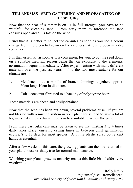#### **TILLANDSIAS - SEED GATHERING AND PROPAGATING OF THE SPECIES**

Now that the heat of summer is on us in full strength, you have to be watchful for escaping seed. From early morn to forenoon the seed capsules open and all is lost on the wind.

I find that it is better to collect the capsules as soon as you see a colour change from the green to brown on the exteriors. Allow to open in a dry container.

It is then essential, as soon as it is convenient for you, to put the seed down on a suitable medium, reason being that on exposure to the elements, germination begins immediately. After experimenting with many different materials over the past six years, I find the two most suitable for our climate are -

- 1. Melaleuca tie a bundle of branch thinnings together, approx. 60cm long, 10cm in diameter.
- 2. Coir cocoanut fibre tied to a backing of polystyrene board.

These materials are cheap and easily obtained.

Now that the seed has been put down, several problems arise. If you are not blessed with a misting system in your plant house, and to save a lot of leg work, take the medium indoors or to a suitable place on the patio.

From there particular care must be taken to see that misting 3 to 4 times daily takes place, ensuring drying times in between until germination occurs, 8 to 12 days for most species. A 1 litre plastic spray bottle kept handy is essential.

After a few weeks of this care, the growing plants can then be returned to your plant house or shady tree for normal maintenance.

Watching your plants grow to maturity makes this little bit of effort very worthwhile.

> Rolly Reilly *Reprinted from* Bromeliaceae, *Bromeliad Society of Queensland, January-February 1987*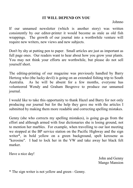#### **IT WILL DEPEND ON YOU**

Johnno

If our unnamed newsletter (which is another story) was written consistently by our editor-printer it would become as stale as old fish wrappings. The growth of our journal into a worthwhile venture will require new writers, new views and new subjects.

Don't by shy at putting pen to paper. Small articles are just as important as full page ones. Our readers want to hear about how you grow your plants. You may not think your efforts are worthwhile, but please do not sell yourself short.

The editing-printing of our magazine was previously handled by Barry Hertzog who (the lucky devil) is going on an extended fishing trip to South Australia. As he will be absent for a few months, everyone has volunteered Wendy and Graham Besgrove to produce our unnamed journal.

I would like to take this opportunity to thank Hazel and Barry for not only producing our journal but for the help they gave me with the articles I submitted by making them more readable and correcting spelling mistakes.

Genny (she who corrects my spelling mistakes), is going ga-ga from the effort and although armed with four dictionaries she is losing ground, not to mention her marbles. For example, when travelling to our last meeting we stopped at the BP service station on the Pacific Highway and the sign writer\*, in bold yellow on a green background, spelt kerosene as "kerosine". I had to lock her in the VW and take away her black felt marker.

Have a nice day!

John and Genny Mango Mansion

\* The sign writer is not yellow and green - Genny.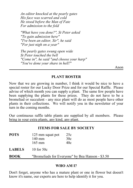*An editor knocked at the pearly gates His face was scarred and cold He stood before the Man of Fate For admission to the fold*

*"What have you done?", St Peter asked "To gain admission here" "I've been an editor, Sir", he said "For just nigh on a year"*

*The pearly gates swung open wide St Peter touched the bell "Come in", he said "and choose your harp" "You've done your share in hell!"*

Anon

#### **PLANT ROSTER**

Now that we are growing in number, I think it would be nice to have a special roster for our Lucky Door Prize and for our Special Raffle. Please advise of which month you can supply a plant. The same few people have been supplying the plants for these prizes. They do not have to be a bromeliad or succulent - any nice plant will do as most people have other plants in their collections. We will notify you in the newsletter of your turn in the coming months.

Our continuous raffle table plants are supplied by all members. Please bring in your extra plants, any kind, any plant.

#### **ITEMS FOR SALE BY SOCIETY**

| POTS          | 125 mm squat pot                                 | 25c |  |
|---------------|--------------------------------------------------|-----|--|
|               | $140 \text{ mm}$                                 | 30c |  |
|               | $165 \text{ mm}$                                 | 40c |  |
| <b>LABELS</b> | 10 for $50c$                                     |     |  |
| <b>BOOK</b>   | "Bromeliads for Everyone" by Bea Hanson - \$3.50 |     |  |

#### **WHO AM I?**

Don't forget, anyone who has a mature plant or one in flower but doesn't know it's name, our experts are here to help identify it for you.